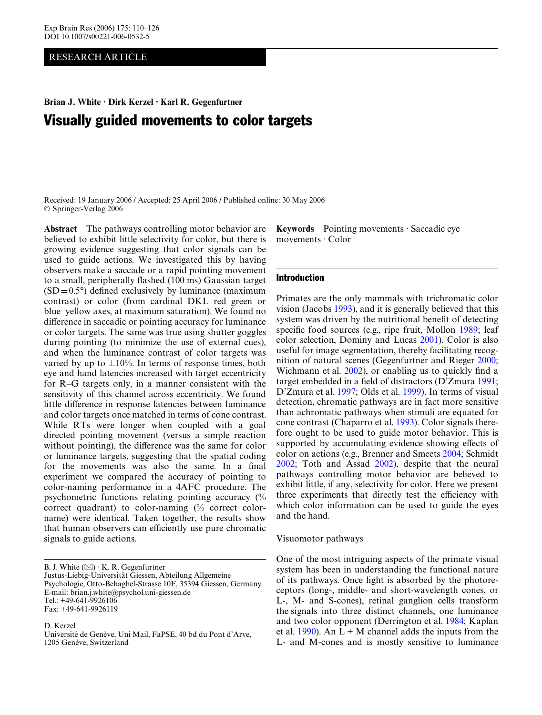## RESEARCH ARTICLE

**Brian J. White · Dirk Kerzel · Karl R. Gegenfurtner** 

# Visually guided movements to color targets

Received: 19 January 2006 / Accepted: 25 April 2006 / Published online: 30 May 2006 © Springer-Verlag 2006

**Abstract** The pathways controlling motor behavior are believed to exhibit little selectivity for color, but there is growing evidence suggesting that color signals can be used to guide actions. We investigated this by having observers make a saccade or a rapid pointing movement to a small, peripherally flashed (100 ms) Gaussian target  $(SD=0.5^{\circ})$  defined exclusively by luminance (maximum contrast) or color (from cardinal DKL red–green or blue–yellow axes, at maximum saturation). We found no difference in saccadic or pointing accuracy for luminance or color targets. The same was true using shutter goggles during pointing (to minimize the use of external cues), and when the luminance contrast of color targets was varied by up to  $\pm 10\%$ . In terms of response times, both eye and hand latencies increased with target eccentricity for R–G targets only, in a manner consistent with the sensitivity of this channel across eccentricity. We found little difference in response latencies between luminance and color targets once matched in terms of cone contrast. While RTs were longer when coupled with a goal directed pointing movement (versus a simple reaction without pointing), the difference was the same for color or luminance targets, suggesting that the spatial coding for the movements was also the same. In a final experiment we compared the accuracy of pointing to color-naming performance in a 4AFC procedure. The psychometric functions relating pointing accuracy (% correct quadrant) to color-naming (% correct colorname) were identical. Taken together, the results show that human observers can efficiently use pure chromatic signals to guide actions.

B. J. White  $(\boxtimes) \cdot K$ . R. Gegenfurtner Justus-Liebig-Universität Giessen, Abteilung Allgemeine Psychologie, Otto-Behaghel-Strasse 10F, 35394 Giessen, Germany E-mail: brian.j.white@psychol.uni-giessen.de Tel.: +49-641-9926106 Fax: +49-641-9926119

D. Kerzel

Université de Genève, Uni Mail, FaPSE, 40 bd du Pont d'Arve, 1205 Genève, Switzerland

**Keywords** Pointing movements · Saccadic eye movements · Color

### Introduction

Primates are the only mammals with trichromatic color vision (Jacobs [1993\)](#page-15-0), and it is generally believed that this system was driven by the nutritional benefit of detecting specific food sources (e.g., ripe fruit, Mollon [1989;](#page-15-1) leaf color selection, Dominy and Lucas [2001\)](#page-15-2). Color is also useful for image segmentation, thereby facilitating recognition of natural scenes (Gegenfurtner and Rieger [2000](#page-15-3); Wichmann et al.  $2002$ ), or enabling us to quickly find a target embedded in a field of distractors (D'Zmura [1991](#page-15-4); D'Zmura et al. [1997](#page-15-5); Olds et al. [1999](#page-15-6)). In terms of visual detection, chromatic pathways are in fact more sensitive than achromatic pathways when stimuli are equated for cone contrast (Chaparro et al. [1993\)](#page-15-7). Color signals therefore ought to be used to guide motor behavior. This is supported by accumulating evidence showing effects of color on actions (e.g., Brenner and Smeets [2004](#page-15-8); Schmidt [2002;](#page-15-9) Toth and Assad [2002\)](#page-15-10), despite that the neural pathways controlling motor behavior are believed to exhibit little, if any, selectivity for color. Here we present three experiments that directly test the efficiency with which color information can be used to guide the eyes and the hand.

## Visuomotor pathways

One of the most intriguing aspects of the primate visual system has been in understanding the functional nature of its pathways. Once light is absorbed by the photoreceptors (long-, middle- and short-wavelength cones, or L-, M- and S-cones), retinal ganglion cells transform the signals into three distinct channels, one luminance and two color opponent (Derrington et al. [1984](#page-15-11); Kaplan et al. [1990\)](#page-15-12). An  $L + M$  channel adds the inputs from the L- and M-cones and is mostly sensitive to luminance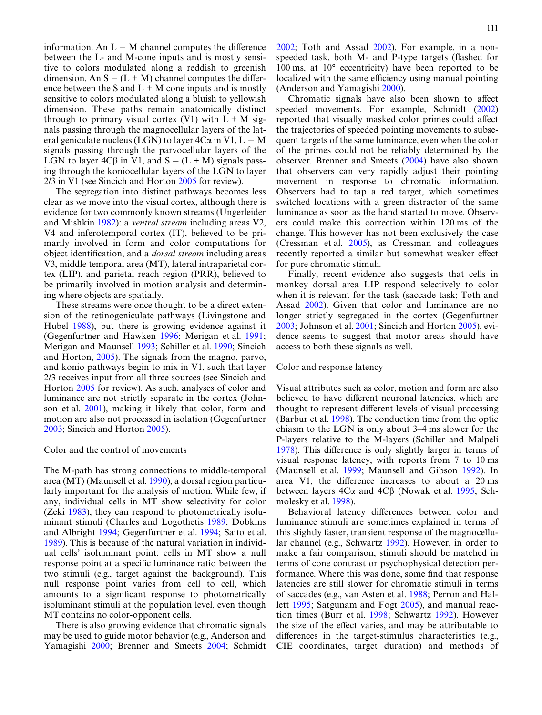information. An  $L - M$  channel computes the difference between the L- and M-cone inputs and is mostly sensitive to colors modulated along a reddish to greenish dimension. An  $S - (L + M)$  channel computes the difference between the S and  $L + M$  cone inputs and is mostly sensitive to colors modulated along a bluish to yellowish dimension. These paths remain anatomically distinct through to primary visual cortex (V1) with  $L + M$  signals passing through the magnocellular layers of the lateral geniculate nucleus (LGN) to layer  $4C\alpha$  in V1, L – M signals passing through the parvocellular layers of the LGN to layer  $4C\beta$  in V1, and  $S - (L + M)$  signals passing through the koniocellular layers of the LGN to layer 2/3 in V1 (see Sincich and Horton [2005](#page-15-13) for review).

The segregation into distinct pathways becomes less clear as we move into the visual cortex, although there is evidence for two commonly known streams (Ungerleider and Mishkin [1982](#page-15-14)): a *ventral stream* including areas V2, V4 and inferotemporal cortex (IT), believed to be primarily involved in form and color computations for object identification, and a *dorsal stream* including areas V3, middle temporal area (MT), lateral intraparietal cortex (LIP), and parietal reach region (PRR), believed to be primarily involved in motion analysis and determining where objects are spatially.

These streams were once thought to be a direct extension of the retinogeniculate pathways (Livingstone and Hubel [1988](#page-15-15)), but there is growing evidence against it (Gegenfurtner and Hawken [1996;](#page-15-16) Merigan et al. [1991](#page-15-17); Merigan and Maunsell [1993;](#page-15-18) Schiller et al. [1990](#page-15-19); Sincich and Horton, [2005](#page-15-13)). The signals from the magno, parvo, and konio pathways begin to mix in V1, such that layer 2/3 receives input from all three sources (see Sincich and Horton [2005](#page-15-13) for review). As such, analyses of color and luminance are not strictly separate in the cortex (Johnson et al. [2001\)](#page-15-20), making it likely that color, form and motion are also not processed in isolation (Gegenfurtner [2003;](#page-15-21) Sincich and Horton [2005](#page-15-13)).

## Color and the control of movements

The M-path has strong connections to middle-temporal area (MT) (Maunsell et al. [1990\)](#page-15-22), a dorsal region particularly important for the analysis of motion. While few, if any, individual cells in MT show selectivity for color (Zeki [1983](#page-16-1)), they can respond to photometrically isoluminant stimuli (Charles and Logothetis [1989;](#page-15-23) Dobkins and Albright [1994](#page-15-24); Gegenfurtner et al. [1994;](#page-15-25) Saito et al. [1989\)](#page-15-26). This is because of the natural variation in individual cells' isoluminant point: cells in MT show a null response point at a specific luminance ratio between the two stimuli (e.g., target against the background). This null response point varies from cell to cell, which amounts to a significant response to photometrically isoluminant stimuli at the population level, even though MT contains no color-opponent cells.

There is also growing evidence that chromatic signals may be used to guide motor behavior (e.g., Anderson and Yamagishi [2000;](#page-15-27) Brenner and Smeets [2004;](#page-15-8) Schmidt

[2002;](#page-15-9) Toth and Assad [2002\)](#page-15-10). For example, in a nonspeeded task, both M- and P-type targets (flashed for 100 ms, at 10° eccentricity) have been reported to be localized with the same efficiency using manual pointing (Anderson and Yamagishi [2000\)](#page-15-27).

Chromatic signals have also been shown to affect speeded movements. For example, Schmidt [\(2002\)](#page-15-9) reported that visually masked color primes could affect the trajectories of speeded pointing movements to subsequent targets of the same luminance, even when the color of the primes could not be reliably determined by the observer. Brenner and Smeets ([2004\)](#page-15-8) have also shown that observers can very rapidly adjust their pointing movement in response to chromatic information. Observers had to tap a red target, which sometimes switched locations with a green distractor of the same luminance as soon as the hand started to move. Observers could make this correction within 120 ms of the change. This however has not been exclusively the case (Cressman et al. [2005\)](#page-15-28), as Cressman and colleagues recently reported a similar but somewhat weaker effect for pure chromatic stimuli.

Finally, recent evidence also suggests that cells in monkey dorsal area LIP respond selectively to color when it is relevant for the task (saccade task; Toth and Assad [2002\)](#page-15-10). Given that color and luminance are no longer strictly segregated in the cortex (Gegenfurtner [2003;](#page-15-21) Johnson et al. [2001;](#page-15-20) Sincich and Horton [2005](#page-15-13)), evidence seems to suggest that motor areas should have access to both these signals as well.

## Color and response latency

Visual attributes such as color, motion and form are also believed to have different neuronal latencies, which are thought to represent different levels of visual processing (Barbur et al. [1998\)](#page-15-29). The conduction time from the optic chiasm to the LGN is only about 3–4 ms slower for the P-layers relative to the M-layers (Schiller and Malpeli [1978\)](#page-15-30). This difference is only slightly larger in terms of visual response latency, with reports from 7 to 10 ms (Maunsell et al. [1999;](#page-15-31) Maunsell and Gibson [1992](#page-15-32)). In area V1, the difference increases to about a 20 ms between layers  $4C\alpha$  and  $4C\beta$  (Nowak et al. [1995](#page-15-33); Schmolesky et al. [1998\)](#page-15-34).

Behavioral latency differences between color and luminance stimuli are sometimes explained in terms of this slightly faster, transient response of the magnocellular channel (e.g., Schwartz [1992\)](#page-15-35). However, in order to make a fair comparison, stimuli should be matched in terms of cone contrast or psychophysical detection performance. Where this was done, some find that response latencies are still slower for chromatic stimuli in terms of saccades (e.g., van Asten et al. [1988](#page-15-36); Perron and Hallett [1995;](#page-15-37) Satgunam and Fogt [2005](#page-15-38)), and manual reaction times (Burr et al. [1998;](#page-15-39) Schwartz [1992\)](#page-15-35). However the size of the effect varies, and may be attributable to differences in the target-stimulus characteristics (e.g., CIE coordinates, target duration) and methods of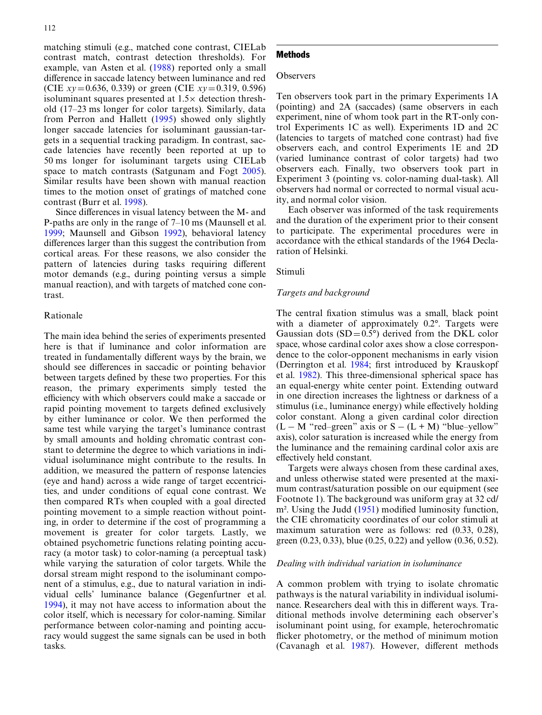matching stimuli (e.g., matched cone contrast, CIELab contrast match, contrast detection thresholds). For example, van Asten et al. ([1988](#page-15-36)) reported only a small difference in saccade latency between luminance and red (CIE *xy*=0.636, 0.339) or green (CIE *xy*=0.319, 0.596) isoluminant squares presented at  $1.5\times$  detection threshold (17–23 ms longer for color targets). Similarly, data from Perron and Hallett ([1995](#page-15-37)) showed only slightly longer saccade latencies for isoluminant gaussian-targets in a sequential tracking paradigm. In contrast, saccade latencies have recently been reported at up to 50 ms longer for isoluminant targets using CIELab space to match contrasts (Satgunam and Fogt [2005](#page-15-38)). Similar results have been shown with manual reaction times to the motion onset of gratings of matched cone contrast (Burr et al. [1998](#page-15-39)).

Since differences in visual latency between the M- and P-paths are only in the range of 7–10 ms (Maunsell et al. [1999;](#page-15-31) Maunsell and Gibson [1992\)](#page-15-32), behavioral latency differences larger than this suggest the contribution from cortical areas. For these reasons, we also consider the pattern of latencies during tasks requiring different motor demands (e.g., during pointing versus a simple manual reaction), and with targets of matched cone contrast.

## Rationale

The main idea behind the series of experiments presented here is that if luminance and color information are treated in fundamentally different ways by the brain, we should see differences in saccadic or pointing behavior between targets defined by these two properties. For this reason, the primary experiments simply tested the efficiency with which observers could make a saccade or rapid pointing movement to targets defined exclusively by either luminance or color. We then performed the same test while varying the target's luminance contrast by small amounts and holding chromatic contrast constant to determine the degree to which variations in individual isoluminance might contribute to the results. In addition, we measured the pattern of response latencies (eye and hand) across a wide range of target eccentricities, and under conditions of equal cone contrast. We then compared RTs when coupled with a goal directed pointing movement to a simple reaction without pointing, in order to determine if the cost of programming a movement is greater for color targets. Lastly, we obtained psychometric functions relating pointing accuracy (a motor task) to color-naming (a perceptual task) while varying the saturation of color targets. While the dorsal stream might respond to the isoluminant component of a stimulus, e.g., due to natural variation in individual cells' luminance balance (Gegenfurtner et al. [1994\)](#page-15-25), it may not have access to information about the color itself, which is necessary for color-naming. Similar performance between color-naming and pointing accuracy would suggest the same signals can be used in both tasks.

## Methods

#### **Observers**

Ten observers took part in the primary Experiments 1A (pointing) and 2A (saccades) (same observers in each experiment, nine of whom took part in the RT-only control Experiments 1C as well). Experiments 1D and 2C (latencies to targets of matched cone contrast) had five observers each, and control Experiments 1E and 2D (varied luminance contrast of color targets) had two observers each. Finally, two observers took part in Experiment 3 (pointing vs. color-naming dual-task). All observers had normal or corrected to normal visual acuity, and normal color vision.

Each observer was informed of the task requirements and the duration of the experiment prior to their consent to participate. The experimental procedures were in accordance with the ethical standards of the 1964 Declaration of Helsinki.

## Stimuli

#### *Targets and background*

The central fixation stimulus was a small, black point with a diameter of approximately 0.2°. Targets were Gaussian dots  $(SD=0.5^{\circ})$  derived from the DKL color space, whose cardinal color axes show a close correspondence to the color-opponent mechanisms in early vision (Derrington et al.  $1984$ ; first introduced by Krauskopf et al. [1982\)](#page-15-40). This three-dimensional spherical space has an equal-energy white center point. Extending outward in one direction increases the lightness or darkness of a stimulus (i.e., luminance energy) while effectively holding color constant. Along a given cardinal color direction  $(L - M$  "red–green" axis or  $S - (L + M)$  "blue–yellow" axis), color saturation is increased while the energy from the luminance and the remaining cardinal color axis are effectively held constant.

Targets were always chosen from these cardinal axes, and unless otherwise stated were presented at the maximum contrast/saturation possible on our equipment (see Footnote 1). The background was uniform gray at 32 cd/  $m<sup>2</sup>$ . Using the Judd [\(1951\)](#page-15-41) modified luminosity function, the CIE chromaticity coordinates of our color stimuli at maximum saturation were as follows: red (0.33, 0.28), green (0.23, 0.33), blue (0.25, 0.22) and yellow (0.36, 0.52).

#### *Dealing with individual variation in isoluminance*

A common problem with trying to isolate chromatic pathways is the natural variability in individual isoluminance. Researchers deal with this in different ways. Traditional methods involve determining each observer's isoluminant point using, for example, heterochromatic flicker photometry, or the method of minimum motion (Cavanagh et al.  $1987$ ). However, different methods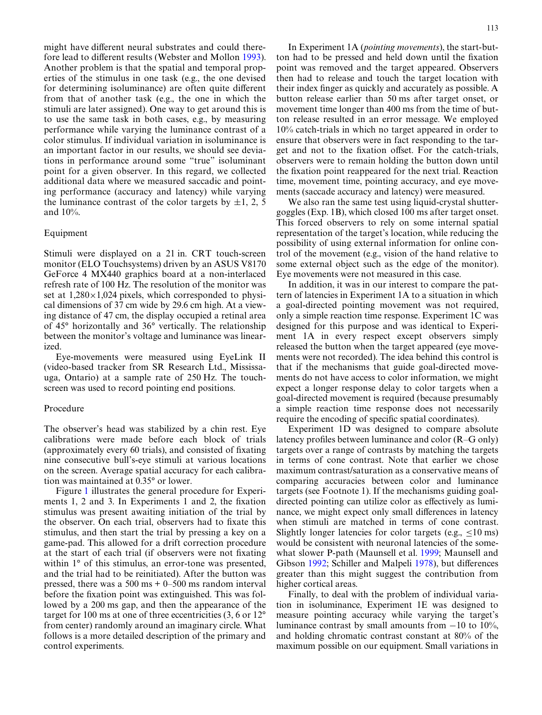might have different neural substrates and could there-fore lead to different results (Webster and Mollon [1993](#page-16-2)). Another problem is that the spatial and temporal properties of the stimulus in one task (e.g., the one devised for determining isoluminance) are often quite different from that of another task (e.g., the one in which the stimuli are later assigned). One way to get around this is to use the same task in both cases, e.g., by measuring performance while varying the luminance contrast of a color stimulus. If individual variation in isoluminance is an important factor in our results, we should see deviations in performance around some "true" isoluminant point for a given observer. In this regard, we collected additional data where we measured saccadic and pointing performance (accuracy and latency) while varying the luminance contrast of the color targets by  $\pm 1$ , 2, 5 and 10%.

## Equipment

Stimuli were displayed on a 21 in. CRT touch-screen monitor (ELO Touchsystems) driven by an ASUS V8170 GeForce 4 MX440 graphics board at a non-interlaced refresh rate of 100 Hz. The resolution of the monitor was set at  $1,280\times1,024$  pixels, which corresponded to physical dimensions of 37 cm wide by 29.6 cm high. At a viewing distance of 47 cm, the display occupied a retinal area of 45° horizontally and 36° vertically. The relationship between the monitor's voltage and luminance was linearized.

Eye-movements were measured using EyeLink II (video-based tracker from SR Research Ltd., Mississauga, Ontario) at a sample rate of 250 Hz. The touchscreen was used to record pointing end positions.

## Procedure

The observer's head was stabilized by a chin rest. Eye calibrations were made before each block of trials (approximately every 60 trials), and consisted of fixating nine consecutive bull's-eye stimuli at various locations on the screen. Average spatial accuracy for each calibration was maintained at 0.35° or lower.

Figure [1](#page-4-0) illustrates the general procedure for Experiments 1, 2 and 3. In Experiments 1 and 2, the fixation stimulus was present awaiting initiation of the trial by the observer. On each trial, observers had to fixate this stimulus, and then start the trial by pressing a key on a game-pad. This allowed for a drift correction procedure at the start of each trial (if observers were not fixating within 1<sup>°</sup> of this stimulus, an error-tone was presented, and the trial had to be reinitiated). After the button was pressed, there was a  $500 \text{ ms} + 0$ –500 ms random interval before the fixation point was extinguished. This was followed by a 200 ms gap, and then the appearance of the target for 100 ms at one of three eccentricities (3, 6 or 12° from center) randomly around an imaginary circle. What follows is a more detailed description of the primary and control experiments.

In Experiment 1A (*pointing movements*), the start-button had to be pressed and held down until the fixation point was removed and the target appeared. Observers then had to release and touch the target location with their index finger as quickly and accurately as possible. A button release earlier than 50 ms after target onset, or movement time longer than 400 ms from the time of button release resulted in an error message. We employed 10% catch-trials in which no target appeared in order to ensure that observers were in fact responding to the target and not to the fixation offset. For the catch-trials, observers were to remain holding the button down until the fixation point reappeared for the next trial. Reaction time, movement time, pointing accuracy, and eye movements (saccade accuracy and latency) were measured.

We also ran the same test using liquid-crystal shuttergoggles (Exp. 1B), which closed 100 ms after target onset. This forced observers to rely on some internal spatial representation of the target's location, while reducing the possibility of using external information for online control of the movement (e.g., vision of the hand relative to some external object such as the edge of the monitor). Eye movements were not measured in this case.

In addition, it was in our interest to compare the pattern of latencies in Experiment 1A to a situation in which a goal-directed pointing movement was not required, only a simple reaction time response. Experiment 1C was designed for this purpose and was identical to Experiment 1A in every respect except observers simply released the button when the target appeared (eye movements were not recorded). The idea behind this control is that if the mechanisms that guide goal-directed movements do not have access to color information, we might expect a longer response delay to color targets when a goal-directed movement is required (because presumably a simple reaction time response does not necessarily require the encoding of specific spatial coordinates).

Experiment 1D was designed to compare absolute latency profiles between luminance and color  $(R-G \text{ only})$ targets over a range of contrasts by matching the targets in terms of cone contrast. Note that earlier we chose maximum contrast/saturation as a conservative means of comparing accuracies between color and luminance targets (see Footnote 1). If the mechanisms guiding goaldirected pointing can utilize color as effectively as luminance, we might expect only small differences in latency when stimuli are matched in terms of cone contrast. Slightly longer latencies for color targets (e.g.,  $\leq 10$  ms) would be consistent with neuronal latencies of the somewhat slower P-path (Maunsell et al. [1999;](#page-15-31) Maunsell and Gibson [1992](#page-15-32); Schiller and Malpeli [1978\)](#page-15-30), but differences greater than this might suggest the contribution from higher cortical areas.

Finally, to deal with the problem of individual variation in isoluminance, Experiment 1E was designed to measure pointing accuracy while varying the target's luminance contrast by small amounts from  $-10$  to  $10\%$ , and holding chromatic contrast constant at 80% of the maximum possible on our equipment. Small variations in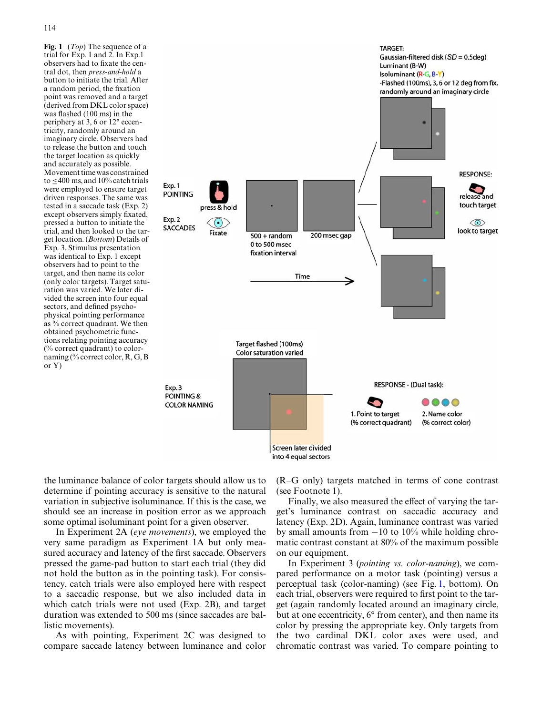<span id="page-4-0"></span>**Fig. 1** (*Top*) The sequence of a trial for Exp. 1 and 2. In Exp.1 observers had to fixate the central dot, then *press-and-hold* a button to initiate the trial. After a random period, the fixation point was removed and a target (derived from DKL color space) was flashed  $(100 \text{ ms})$  in the periphery at 3, 6 or 12° eccentricity, randomly around an imaginary circle. Observers had to release the button and touch the target location as quickly and accurately as possible. Movement time was constrained to  $\leq$ 400 ms, and 10% catch trials were employed to ensure target driven responses. The same was tested in a saccade task (Exp. 2) except observers simply fixated, pressed a button to initiate the trial, and then looked to the target location. (*Bottom*) Details of Exp. 3. Stimulus presentation was identical to Exp. 1 except observers had to point to the target, and then name its color (only color targets). Target saturation was varied. We later divided the screen into four equal sectors, and defined psychophysical pointing performance as % correct quadrant. We then obtained psychometric functions relating pointing accuracy (% correct quadrant) to colornaming (% correct color, R, G, B or Y)



the luminance balance of color targets should allow us to determine if pointing accuracy is sensitive to the natural variation in subjective isoluminance. If this is the case, we should see an increase in position error as we approach some optimal isoluminant point for a given observer.

In Experiment 2A (*eye movements*), we employed the very same paradigm as Experiment 1A but only measured accuracy and latency of the first saccade. Observers pressed the game-pad button to start each trial (they did not hold the button as in the pointing task). For consistency, catch trials were also employed here with respect to a saccadic response, but we also included data in which catch trials were not used (Exp. 2B), and target duration was extended to 500 ms (since saccades are ballistic movements).

As with pointing, Experiment 2C was designed to compare saccade latency between luminance and color (R–G only) targets matched in terms of cone contrast (see Footnote 1).

Finally, we also measured the effect of varying the target's luminance contrast on saccadic accuracy and latency (Exp. 2D). Again, luminance contrast was varied by small amounts from  $-10$  to 10% while holding chromatic contrast constant at 80% of the maximum possible on our equipment.

In Experiment 3 (*pointing vs. color-naming*), we compared performance on a motor task (pointing) versus a perceptual task (color-naming) (see Fig. [1](#page-4-0), bottom). On each trial, observers were required to first point to the target (again randomly located around an imaginary circle, but at one eccentricity, 6° from center), and then name its color by pressing the appropriate key. Only targets from the two cardinal DKL color axes were used, and chromatic contrast was varied. To compare pointing to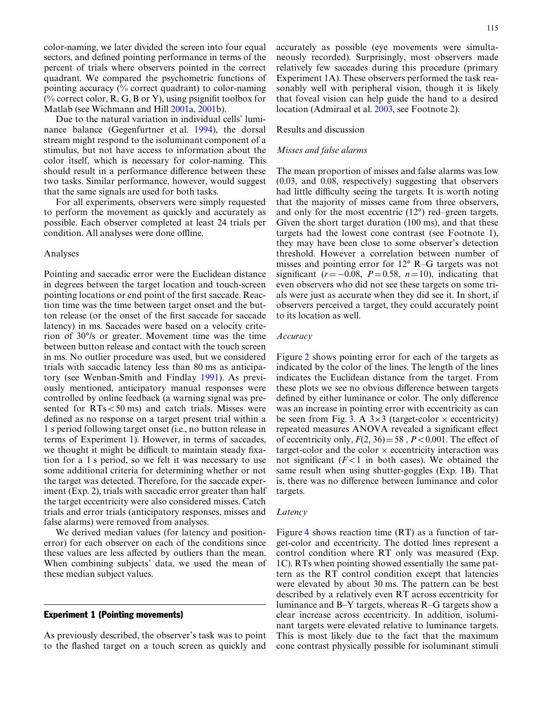color-naming, we later divided the screen into four equal sectors, and defined pointing performance in terms of the percent of trials where observers pointed in the correct quadrant. We compared the psychometric functions of pointing accuracy (% correct quadrant) to color-naming (% correct color, R, G, B or Y), using psignifit toolbox for Matlab (see Wichmann and Hill [2001a](#page-16-3), [2001](#page-16-4)b).

Due to the natural variation in individual cells' luminance balance (Gegenfurtner et al. [1994\)](#page-15-25), the dorsal stream might respond to the isoluminant component of a stimulus, but not have access to information about the color itself, which is necessary for color-naming. This should result in a performance difference between these two tasks. Similar performance, however, would suggest that the same signals are used for both tasks.

For all experiments, observers were simply requested to perform the movement as quickly and accurately as possible. Each observer completed at least 24 trials per condition. All analyses were done offline.

#### Analyses

Pointing and saccadic error were the Euclidean distance in degrees between the target location and touch-screen pointing locations or end point of the first saccade. Reaction time was the time between target onset and the button release (or the onset of the first saccade for saccade latency) in ms. Saccades were based on a velocity criterion of 30°/s or greater. Movement time was the time between button release and contact with the touch screen in ms. No outlier procedure was used, but we considered trials with saccadic latency less than 80 ms as anticipatory (see Wenban-Smith and Findlay [1991\)](#page-16-5). As previously mentioned, anticipatory manual responses were controlled by online feedback (a warning signal was presented for  $RTs < 50$  ms) and catch trials. Misses were defined as no response on a target present trial within a 1 s period following target onset (i.e., no button release in terms of Experiment 1). However, in terms of saccades, we thought it might be difficult to maintain steady fixation for a 1 s period, so we felt it was necessary to use some additional criteria for determining whether or not the target was detected. Therefore, for the saccade experiment (Exp. 2), trials with saccadic error greater than half the target eccentricity were also considered misses. Catch trials and error trials (anticipatory responses, misses and false alarms) were removed from analyses.

We derived median values (for latency and positionerror) for each observer on each of the conditions since these values are less affected by outliers than the mean. When combining subjects' data, we used the mean of these median subject values.

## Experiment 1 (Pointing movements)

As previously described, the observer's task was to point to the flashed target on a touch screen as quickly and accurately as possible (eye movements were simultaneously recorded). Surprisingly, most observers made relatively few saccades during this procedure (primary Experiment 1A). These observers performed the task reasonably well with peripheral vision, though it is likely that foveal vision can help guide the hand to a desired location (Admiraal et al. [2003](#page-14-0), see Footnote 2).

## Results and discussion

## *Misses and false alarms*

The mean proportion of misses and false alarms was low (0.03, and 0.08, respectively) suggesting that observers had little difficulty seeing the targets. It is worth noting that the majority of misses came from three observers, and only for the most eccentric (12°) red–green targets. Given the short target duration (100 ms), and that these targets had the lowest cone contrast (see Footnote 1), they may have been close to some observer's detection threshold. However a correlation between number of misses and pointing error for 12° R–G targets was not significant ( $r = -0.08$ ,  $P = 0.58$ ,  $n = 10$ ), indicating that even observers who did not see these targets on some trials were just as accurate when they did see it. In short, if observers perceived a target, they could accurately point to its location as well.

## *Accuracy*

Figure [2](#page-6-0) shows pointing error for each of the targets as indicated by the color of the lines. The length of the lines indicates the Euclidean distance from the target. From these plots we see no obvious difference between targets defined by either luminance or color. The only difference was an increase in pointing error with eccentricity as can be seen from Fig. [3](#page-6-1). A  $3\times3$  (target-color  $\times$  eccentricity) repeated measures ANOVA revealed a significant effect of eccentricity only,  $F(2, 36) = 58$ ,  $P < 0.001$ . The effect of target-color and the color  $\times$  eccentricity interaction was not significant  $(F<1$  in both cases). We obtained the same result when using shutter-goggles (Exp. 1B). That is, there was no difference between luminance and color targets.

#### *Latency*

Figure [4](#page-6-2) shows reaction time (RT) as a function of target-color and eccentricity. The dotted lines represent a control condition where RT only was measured (Exp. 1C). RTs when pointing showed essentially the same pattern as the RT control condition except that latencies were elevated by about 30 ms. The pattern can be best described by a relatively even RT across eccentricity for luminance and B–Y targets, whereas R–G targets show a clear increase across eccentricity. In addition, isoluminant targets were elevated relative to luminance targets. This is most likely due to the fact that the maximum cone contrast physically possible for isoluminant stimuli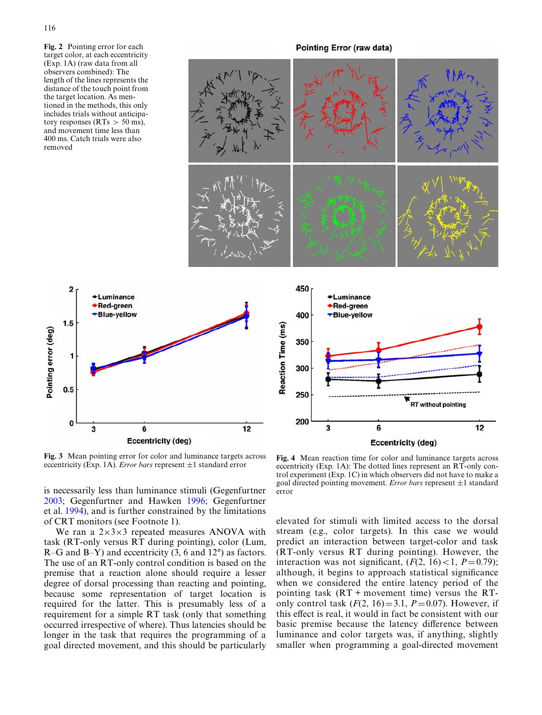<span id="page-6-0"></span>**Fig. 2** Pointing error for each target color, at each eccentricity (Exp. 1A) (raw data from all observers combined): The length of the lines represents the distance of the touch point from the target location. As mentioned in the methods, this only includes trials without anticipatory responses ( $RTs > 50$  ms), and movement time less than 400 ms. Catch trials were also removed

 $\overline{\mathbf{c}}$ 

 $1.5$ 

 $0.5$ 

 $\mathbf 0$ 

Pointing error (deg)

## Pointing Error (raw data)



<span id="page-6-1"></span>**Fig. 3** Mean pointing error for color and luminance targets across **Fig. 3** Mean pointing error for color and luminance targets across **Fig. 4** Mean reaction time for color and luminance targets across eccentricity (Exp. 1A). *Error bars* represent  $\pm 1$  standard error eccentricity (Exp.

is necessarily less than luminance stimuli (Gegenfurtner [2003;](#page-15-21) Gegenfurtner and Hawken [1996](#page-15-16); Gegenfurtner et al. [1994\)](#page-15-25), and is further constrained by the limitations of CRT monitors (see Footnote 1).

We ran a  $2\times3\times3$  repeated measures ANOVA with task (RT-only versus RT during pointing), color (Lum, R–G and B–Y) and eccentricity (3, 6 and 12°) as factors. The use of an RT-only control condition is based on the premise that a reaction alone should require a lesser degree of dorsal processing than reacting and pointing, because some representation of target location is required for the latter. This is presumably less of a requirement for a simple RT task (only that something occurred irrespective of where). Thus latencies should be longer in the task that requires the programming of a goal directed movement, and this should be particularly

<span id="page-6-2"></span>eccentricity (Exp. 1A): The dotted lines represent an RT-only control experiment (Exp. 1C) in which observers did not have to make a goal directed pointing movement. *Error bars* represent  $\pm 1$  standard error

elevated for stimuli with limited access to the dorsal stream (e.g., color targets). In this case we would predict an interaction between target-color and task (RT-only versus RT during pointing). However, the interaction was not significant,  $(F(2, 16) < 1, P = 0.79)$ ; although, it begins to approach statistical significance when we considered the entire latency period of the pointing task (RT + movement time) versus the RTonly control task  $(F(2, 16)=3.1, P=0.07)$ . However, if this effect is real, it would in fact be consistent with our basic premise because the latency difference between luminance and color targets was, if anything, slightly smaller when programming a goal-directed movement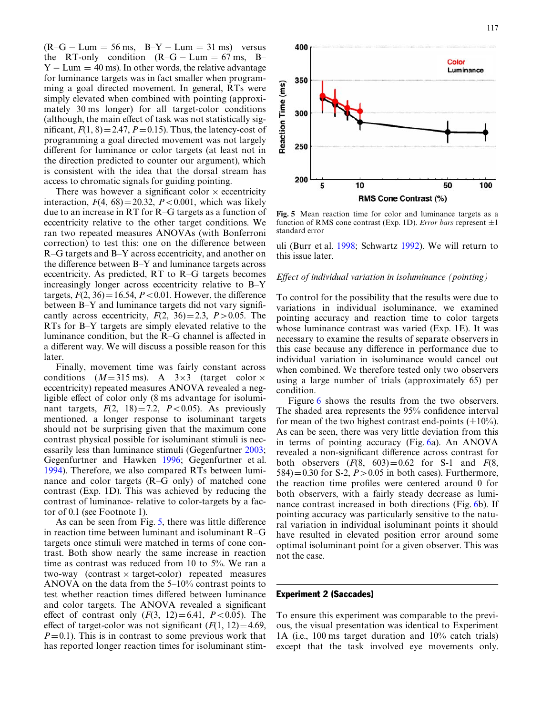$(R-G-Lum = 56$  ms,  $B-Y-Lum = 31$  ms) versus the RT-only condition  $(R-G-Lum = 67 \text{ ms}, B Y - Lum = 40$  ms). In other words, the relative advantage for luminance targets was in fact smaller when programming a goal directed movement. In general, RTs were simply elevated when combined with pointing (approximately 30 ms longer) for all target-color conditions (although, the main effect of task was not statistically significant,  $F(1, 8) = 2.47$ ,  $P = 0.15$ ). Thus, the latency-cost of programming a goal directed movement was not largely different for luminance or color targets (at least not in the direction predicted to counter our argument), which is consistent with the idea that the dorsal stream has access to chromatic signals for guiding pointing.

There was however a significant color  $\times$  eccentricity interaction,  $F(4, 68) = 20.32$ ,  $P < 0.001$ , which was likely due to an increase in RT for R–G targets as a function of eccentricity relative to the other target conditions. We ran two repeated measures ANOVAs (with Bonferroni correction) to test this: one on the difference between R–G targets and B–Y across eccentricity, and another on the difference between  $B-Y$  and luminance targets across eccentricity. As predicted, RT to R–G targets becomes increasingly longer across eccentricity relative to B–Y targets,  $F(2, 36) = 16.54$ ,  $P < 0.01$ . However, the difference between  $B-Y$  and luminance targets did not vary significantly across eccentricity,  $F(2, 36)=2.3$ ,  $P>0.05$ . The RTs for B–Y targets are simply elevated relative to the luminance condition, but the  $R-G$  channel is affected in a different way. We will discuss a possible reason for this later.

Finally, movement time was fairly constant across conditions  $(M=315 \text{ ms})$ . A  $3\times3$  (target color  $\times$ eccentricity) repeated measures ANOVA revealed a negligible effect of color only (8 ms advantage for isoluminant targets,  $F(2, 18)=7.2$ ,  $P<0.05$ ). As previously mentioned, a longer response to isoluminant targets should not be surprising given that the maximum cone contrast physical possible for isoluminant stimuli is necessarily less than luminance stimuli (Gegenfurtner [2003](#page-15-21); Gegenfurtner and Hawken [1996](#page-15-16); Gegenfurtner et al. [1994\)](#page-15-25). Therefore, we also compared RTs between luminance and color targets (R–G only) of matched cone contrast (Exp. 1D). This was achieved by reducing the contrast of luminance- relative to color-targets by a factor of 0.1 (see Footnote 1).

As can be seen from Fig.  $5$ , there was little difference in reaction time between luminant and isoluminant R–G targets once stimuli were matched in terms of cone contrast. Both show nearly the same increase in reaction time as contrast was reduced from 10 to 5%. We ran a two-way (contrast  $\times$  target-color) repeated measures ANOVA on the data from the 5–10% contrast points to test whether reaction times differed between luminance and color targets. The ANOVA revealed a significant effect of contrast only  $(F(3, 12)=6.41, P<0.05)$ . The effect of target-color was not significant  $(F(1, 12)=4.69$ ,  $P=0.1$ ). This is in contrast to some previous work that has reported longer reaction times for isoluminant stim-



<span id="page-7-0"></span>**Fig. 5** Mean reaction time for color and luminance targets as a function of RMS cone contrast (Exp. 1D). *Error bars* represent  $\pm 1$ standard error

uli (Burr et al. [1998;](#page-15-39) Schwartz [1992](#page-15-35)). We will return to this issue later.

## *Effect of individual variation in isoluminance (pointing)*

To control for the possibility that the results were due to variations in individual isoluminance, we examined pointing accuracy and reaction time to color targets whose luminance contrast was varied (Exp. 1E). It was necessary to examine the results of separate observers in this case because any difference in performance due to individual variation in isoluminance would cancel out when combined. We therefore tested only two observers using a large number of trials (approximately 65) per condition.

Figure [6](#page-8-0) shows the results from the two observers. The shaded area represents the 95% confidence interval for mean of the two highest contrast end-points  $(\pm 10\%)$ . As can be seen, there was very little deviation from this in terms of pointing accuracy (Fig. [6](#page-8-0)a). An ANOVA revealed a non-significant difference across contrast for both observers  $(F(8, 603)=0.62$  for S-1 and  $F(8, 603)=0.62$  $584$ )=0.30 for S-2,  $P > 0.05$  in both cases). Furthermore, the reaction time profiles were centered around 0 for both observers, with a fairly steady decrease as luminance contrast increased in both directions (Fig. [6b](#page-8-0)). If pointing accuracy was particularly sensitive to the natural variation in individual isoluminant points it should have resulted in elevated position error around some optimal isoluminant point for a given observer. This was not the case.

#### Experiment 2 (Saccades)

To ensure this experiment was comparable to the previous, the visual presentation was identical to Experiment 1A (i.e., 100 ms target duration and 10% catch trials) except that the task involved eye movements only.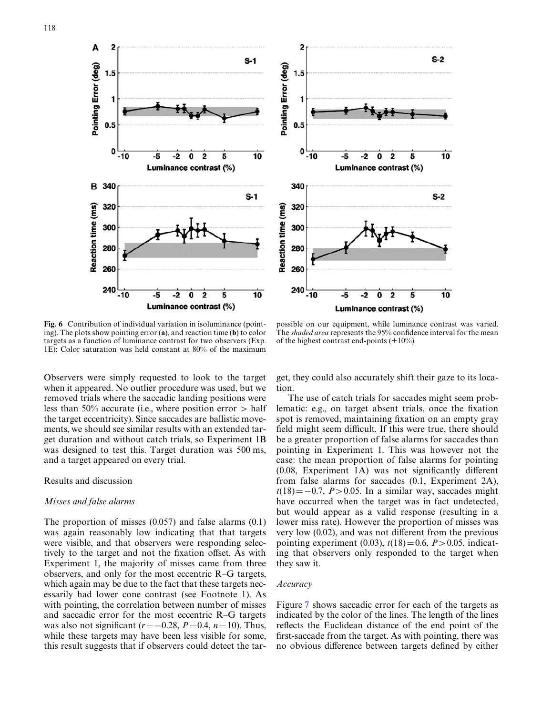



<span id="page-8-0"></span>Fig. 6 Contribution of individual variation in isoluminance (pointing). The plots show pointing error (**a**), and reaction time (**b**) to color targets as a function of luminance contrast for two observers (Exp. 1E): Color saturation was held constant at 80% of the maximum

Observers were simply requested to look to the target when it appeared. No outlier procedure was used, but we removed trials where the saccadic landing positions were less than 50% accurate (i.e., where position error  $>$  half the target eccentricity). Since saccades are ballistic movements, we should see similar results with an extended target duration and without catch trials, so Experiment 1B was designed to test this. Target duration was 500 ms, and a target appeared on every trial.

#### Results and discussion

#### *Misses and false alarms*

The proportion of misses (0.057) and false alarms (0.1) was again reasonably low indicating that that targets were visible, and that observers were responding selectively to the target and not the fixation offset. As with Experiment 1, the majority of misses came from three observers, and only for the most eccentric R–G targets, which again may be due to the fact that these targets necessarily had lower cone contrast (see Footnote 1). As with pointing, the correlation between number of misses and saccadic error for the most eccentric R–G targets was also not significant  $(r=-0.28, P=0.4, n=10)$ . Thus, while these targets may have been less visible for some, this result suggests that if observers could detect the tar-

possible on our equipment, while luminance contrast was varied. The *shaded area* represents the 95% confidence interval for the mean of the highest contrast end-points  $(\pm 10\%)$ 

get, they could also accurately shift their gaze to its location.

The use of catch trials for saccades might seem problematic: e.g., on target absent trials, once the fixation spot is removed, maintaining fixation on an empty gray field might seem difficult. If this were true, there should be a greater proportion of false alarms for saccades than pointing in Experiment 1. This was however not the case: the mean proportion of false alarms for pointing  $(0.08,$  Experiment 1A) was not significantly different from false alarms for saccades (0.1, Experiment 2A),  $t(18) = -0.7$ , *P*>0.05. In a similar way, saccades might have occurred when the target was in fact undetected, but would appear as a valid response (resulting in a lower miss rate). However the proportion of misses was very low  $(0.02)$ , and was not different from the previous pointing experiment (0.03),  $t(18)=0.6$ ,  $P > 0.05$ , indicating that observers only responded to the target when they saw it.

## *Accuracy*

Figure [7](#page-9-0) shows saccadic error for each of the targets as indicated by the color of the lines. The length of the lines reflects the Euclidean distance of the end point of the first-saccade from the target. As with pointing, there was no obvious difference between targets defined by either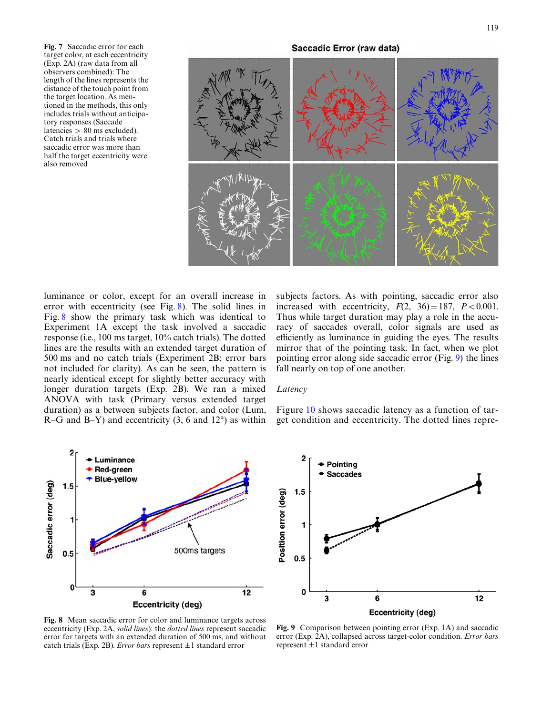<span id="page-9-0"></span>**Fig. 7** Saccadic error for each target color, at each eccentricity (Exp. 2A) (raw data from all observers combined): The length of the lines represents the distance of the touch point from the target location. As mentioned in the methods, this only includes trials without anticipatory responses (Saccade latencies > 80 ms excluded). Catch trials and trials where saccadic error was more than half the target eccentricity were also removed



luminance or color, except for an overall increase in error with eccentricity (see Fig. [8\)](#page-9-1). The solid lines in Fig. [8](#page-9-1) show the primary task which was identical to Experiment 1A except the task involved a saccadic response (i.e., 100 ms target, 10% catch trials). The dotted lines are the results with an extended target duration of 500 ms and no catch trials (Experiment 2B; error bars not included for clarity). As can be seen, the pattern is nearly identical except for slightly better accuracy with longer duration targets (Exp. 2B). We ran a mixed ANOVA with task (Primary versus extended target duration) as a between subjects factor, and color (Lum,  $R-G$  and  $B-Y$ ) and eccentricity (3, 6 and 12°) as within subjects factors. As with pointing, saccadic error also increased with eccentricity,  $F(2, 36) = 187$ ,  $P < 0.001$ . Thus while target duration may play a role in the accuracy of saccades overall, color signals are used as efficiently as luminance in guiding the eyes. The results mirror that of the pointing task. In fact, when we plot pointing error along side saccadic error (Fig. [9\)](#page-9-2) the lines fall nearly on top of one another.

## *Latency*

Figure [10](#page-10-0) shows saccadic latency as a function of target condition and eccentricity. The dotted lines repre-



<span id="page-9-1"></span>**Fig. 8** Mean saccadic error for color and luminance targets across eccentricity (Exp. 2A, *solid lines*): the *dotted lines* represent saccadic error for targets with an extended duration of 500 ms, and without catch trials (Exp. 2B). *Error bars* represent  $\pm 1$  standard error



<span id="page-9-2"></span>**Fig. 9** Comparison between pointing error (Exp. 1A) and saccadic error (Exp. 2A), collapsed across target-color condition. *Error bars* represent  $\pm 1$  standard error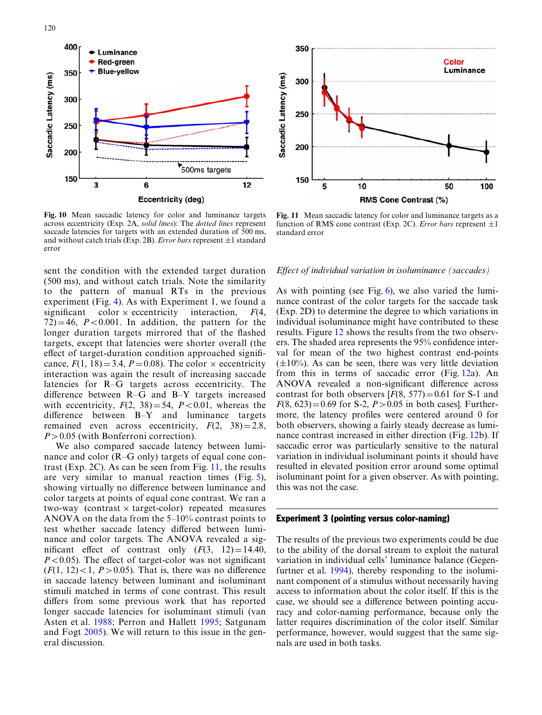



<span id="page-10-0"></span>**Fig. 10** Mean saccadic latency for color and luminance targets across eccentricity (Exp. 2A, *solid lines*): The *dotted lines* represent saccade latencies for targets with an extended duration of 500 ms, and without catch trials (Exp. 2B). *Error bars* represent  $\pm 1$  standard error

sent the condition with the extended target duration (500 ms), and without catch trials. Note the similarity to the pattern of manual RTs in the previous experiment (Fig. [4\)](#page-6-2). As with Experiment 1, we found a significant color  $\times$  eccentricity interaction,  $F(4,$  $72$ )=46, *P*<0.001. In addition, the pattern for the longer duration targets mirrored that of the flashed targets, except that latencies were shorter overall (the effect of target-duration condition approached significance,  $F(1, 18) = 3.4$ ,  $P = 0.08$ ). The color  $\times$  eccentricity interaction was again the result of increasing saccade latencies for R–G targets across eccentricity. The difference between  $R-\bar{G}$  and  $B-Y$  targets increased with eccentricity,  $F(2, 38) = 54$ ,  $P < 0.01$ , whereas the difference between  $B-Y$  and luminance targets remained even across eccentricity,  $F(2, 38)=2.8$ , *P*>0.05 (with Bonferroni correction).

We also compared saccade latency between luminance and color (R–G only) targets of equal cone contrast (Exp. 2C). As can be seen from Fig. [11](#page-10-1), the results are very similar to manual reaction times (Fig. [5](#page-7-0)), showing virtually no difference between luminance and color targets at points of equal cone contrast. We ran a two-way (contrast  $\times$  target-color) repeated measures ANOVA on the data from the 5–10% contrast points to test whether saccade latency differed between luminance and color targets. The ANOVA revealed a significant effect of contrast only  $(F(3, 12)=14.40,$  $P < 0.05$ ). The effect of target-color was not significant  $(F(1, 12) < 1, P > 0.05)$ . That is, there was no difference in saccade latency between luminant and isoluminant stimuli matched in terms of cone contrast. This result differs from some previous work that has reported longer saccade latencies for isoluminant stimuli (van Asten et al. [1988](#page-15-36); Perron and Hallett [1995](#page-15-37); Satgunam and Fogt [2005\)](#page-15-38). We will return to this issue in the general discussion.

<span id="page-10-1"></span>**Fig. 11** Mean saccadic latency for color and luminance targets as a function of RMS cone contrast (Exp. 2C). *Error bars* represent  $\pm 1$ standard error

#### *Effect of individual variation in isoluminance (saccades)*

As with pointing (see Fig. [6\)](#page-8-0), we also varied the luminance contrast of the color targets for the saccade task (Exp. 2D) to determine the degree to which variations in individual isoluminance might have contributed to these results. Figure [12](#page-11-0) shows the results from the two observers. The shaded area represents the 95% confidence interval for mean of the two highest contrast end-points  $(\pm 10\%)$ . As can be seen, there was very little deviation from this in terms of saccadic error (Fig. [12a](#page-11-0)). An ANOVA revealed a non-significant difference across contrast for both observers  $[F(8, 577) = 0.61$  for S-1 and  $F(8, 623) = 0.69$  for S-2,  $P > 0.05$  in both cases]. Furthermore, the latency profiles were centered around 0 for both observers, showing a fairly steady decrease as luminance contrast increased in either direction (Fig. [12b](#page-11-0)). If saccadic error was particularly sensitive to the natural variation in individual isoluminant points it should have resulted in elevated position error around some optimal isoluminant point for a given observer. As with pointing, this was not the case.

## Experiment 3 (pointing versus color-naming)

The results of the previous two experiments could be due to the ability of the dorsal stream to exploit the natural variation in individual cells' luminance balance (Gegenfurtner et al. [1994](#page-15-25)), thereby responding to the isoluminant component of a stimulus without necessarily having access to information about the color itself. If this is the case, we should see a difference between pointing accuracy and color-naming performance, because only the latter requires discrimination of the color itself. Similar performance, however, would suggest that the same signals are used in both tasks.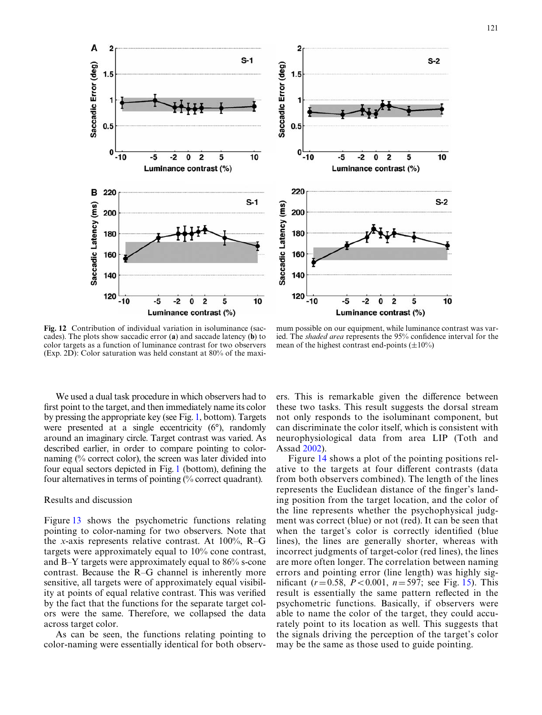

<span id="page-11-0"></span>**Fig. 12** Contribution of individual variation in isoluminance (saccades). The plots show saccadic error (**a**) and saccade latency (**b**) to color targets as a function of luminance contrast for two observers (Exp. 2D): Color saturation was held constant at 80% of the maxi-

mum possible on our equipment, while luminance contrast was varied. The *shaded area* represents the 95% confidence interval for the mean of the highest contrast end-points  $(\pm 10\%)$ 

We used a dual task procedure in which observers had to first point to the target, and then immediately name its color by pressing the appropriate key (see Fig. [1](#page-4-0), bottom). Targets were presented at a single eccentricity (6°), randomly around an imaginary circle. Target contrast was varied. As described earlier, in order to compare pointing to colornaming (% correct color), the screen was later divided into four equal sectors depicted in Fig. [1](#page-4-0) (bottom), defining the four alternatives in terms of pointing (% correct quadrant).

## Results and discussion

Figure [13](#page-12-0) shows the psychometric functions relating pointing to color-naming for two observers. Note that the *x*-axis represents relative contrast. At 100%, R–G targets were approximately equal to 10% cone contrast, and B–Y targets were approximately equal to 86% s-cone contrast. Because the R–G channel is inherently more sensitive, all targets were of approximately equal visibility at points of equal relative contrast. This was verified by the fact that the functions for the separate target colors were the same. Therefore, we collapsed the data across target color.

As can be seen, the functions relating pointing to color-naming were essentially identical for both observers. This is remarkable given the difference between these two tasks. This result suggests the dorsal stream not only responds to the isoluminant component, but can discriminate the color itself, which is consistent with neurophysiological data from area LIP (Toth and Assad [2002\)](#page-15-10).

Figure [14](#page-12-1) shows a plot of the pointing positions relative to the targets at four different contrasts (data from both observers combined). The length of the lines represents the Euclidean distance of the finger's landing position from the target location, and the color of the line represents whether the psychophysical judgment was correct (blue) or not (red). It can be seen that when the target's color is correctly identified (blue lines), the lines are generally shorter, whereas with incorrect judgments of target-color (red lines), the lines are more often longer. The correlation between naming errors and pointing error (line length) was highly significant  $(r=0.58, P<0.001, n=597$ ; see Fig. [15](#page-12-2)). This result is essentially the same pattern reflected in the psychometric functions. Basically, if observers were able to name the color of the target, they could accurately point to its location as well. This suggests that the signals driving the perception of the target's color may be the same as those used to guide pointing.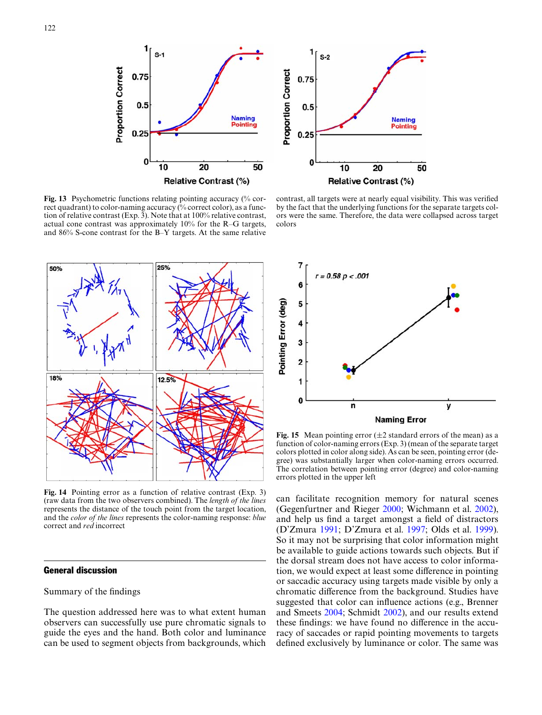



<span id="page-12-0"></span>**Fig. 13** Psychometric functions relating pointing accuracy (% correct quadrant) to color-naming accuracy (% correct color), as a function of relative contrast (Exp. 3). Note that at 100% relative contrast, actual cone contrast was approximately 10% for the R–G targets, and 86% S-cone contrast for the B–Y targets. At the same relative



<span id="page-12-1"></span>**Fig. 14** Pointing error as a function of relative contrast (Exp. 3) (raw data from the two observers combined). The *length of the lines* represents the distance of the touch point from the target location, and the *color of the lines* represents the color-naming response: *blue* correct and *red* incorrect

## General discussion

## Summary of the findings

The question addressed here was to what extent human observers can successfully use pure chromatic signals to guide the eyes and the hand. Both color and luminance can be used to segment objects from backgrounds, which

contrast, all targets were at nearly equal visibility. This was verified by the fact that the underlying functions for the separate targets colors were the same. Therefore, the data were collapsed across target colors



<span id="page-12-2"></span>**Fig. 15** Mean pointing error  $(\pm 2 \text{ standard errors of the mean})$  as a function of color-naming errors (Exp. 3) (mean of the separate target colors plotted in color along side). As can be seen, pointing error (degree) was substantially larger when color-naming errors occurred. The correlation between pointing error (degree) and color-naming errors plotted in the upper left

can facilitate recognition memory for natural scenes (Gegenfurtner and Rieger [2000](#page-15-3); Wichmann et al. [2002](#page-16-0)), and help us find a target amongst a field of distractors (D'Zmura [1991;](#page-15-4) D'Zmura et al. [1997;](#page-15-5) Olds et al. [1999\)](#page-15-6). So it may not be surprising that color information might be available to guide actions towards such objects. But if the dorsal stream does not have access to color information, we would expect at least some difference in pointing or saccadic accuracy using targets made visible by only a chromatic difference from the background. Studies have suggested that color can influence actions (e.g., Brenner and Smeets [2004](#page-15-8); Schmidt [2002](#page-15-9)), and our results extend these findings: we have found no difference in the accuracy of saccades or rapid pointing movements to targets defined exclusively by luminance or color. The same was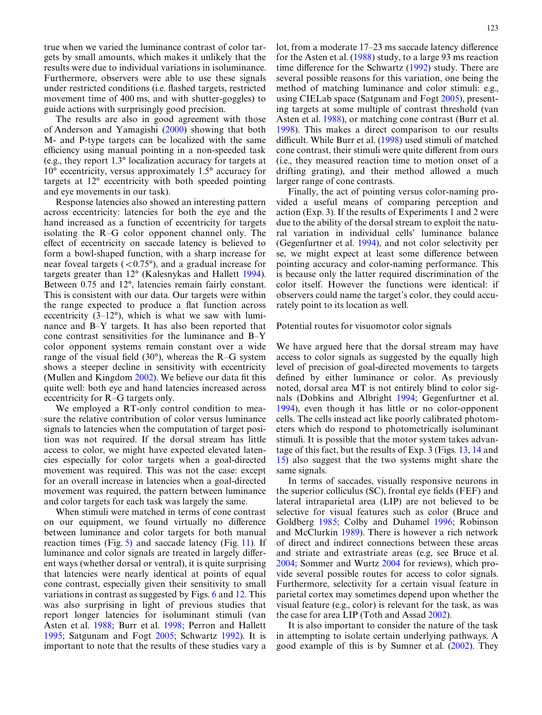true when we varied the luminance contrast of color targets by small amounts, which makes it unlikely that the results were due to individual variations in isoluminance. Furthermore, observers were able to use these signals under restricted conditions (i.e. flashed targets, restricted movement time of 400 ms, and with shutter-goggles) to guide actions with surprisingly good precision.

The results are also in good agreement with those of Anderson and Yamagishi ([2000\)](#page-15-27) showing that both M- and P-type targets can be localized with the same efficiency using manual pointing in a non-speeded task (e.g., they report 1.3° localization accuracy for targets at 10° eccentricity, versus approximately 1.5° accuracy for targets at 12° eccentricity with both speeded pointing and eye movements in our task).

Response latencies also showed an interesting pattern across eccentricity: latencies for both the eye and the hand increased as a function of eccentricity for targets isolating the R–G color opponent channel only. The effect of eccentricity on saccade latency is believed to form a bowl-shaped function, with a sharp increase for near foveal targets  $( $0.75^{\circ}$ )$ , and a gradual increase for targets greater than 12° (Kalesnykas and Hallett [1994\)](#page-15-43). Between 0.75 and 12°, latencies remain fairly constant. This is consistent with our data. Our targets were within the range expected to produce a flat function across eccentricity  $(3-12^{\circ})$ , which is what we saw with luminance and B–Y targets. It has also been reported that cone contrast sensitivities for the luminance and B–Y color opponent systems remain constant over a wide range of the visual field  $(30^{\circ})$ , whereas the R–G system shows a steeper decline in sensitivity with eccentricity (Mullen and Kingdom  $2002$ ). We believe our data fit this quite well: both eye and hand latencies increased across eccentricity for R–G targets only.

We employed a RT-only control condition to measure the relative contribution of color versus luminance signals to latencies when the computation of target position was not required. If the dorsal stream has little access to color, we might have expected elevated latencies especially for color targets when a goal-directed movement was required. This was not the case: except for an overall increase in latencies when a goal-directed movement was required, the pattern between luminance and color targets for each task was largely the same.

When stimuli were matched in terms of cone contrast on our equipment, we found virtually no difference between luminance and color targets for both manual reaction times (Fig. [5](#page-7-0)) and saccade latency (Fig. [11](#page-10-1)). If luminance and color signals are treated in largely different ways (whether dorsal or ventral), it is quite surprising that latencies were nearly identical at points of equal cone contrast, especially given their sensitivity to small variations in contrast as suggested by Figs. [6](#page-8-0) and [12.](#page-11-0) This was also surprising in light of previous studies that report longer latencies for isoluminant stimuli (van Asten et al. [1988;](#page-15-36) Burr et al. [1998;](#page-15-39) Perron and Hallett [1995;](#page-15-37) Satgunam and Fogt [2005](#page-15-38); Schwartz [1992](#page-15-35)). It is important to note that the results of these studies vary a lot, from a moderate  $17-23$  ms saccade latency difference for the Asten et al. ([1988](#page-15-36)) study, to a large 93 ms reaction time difference for the Schwartz  $(1992)$  study. There are several possible reasons for this variation, one being the method of matching luminance and color stimuli: e.g., using CIELab space (Satgunam and Fogt [2005](#page-15-38)), presenting targets at some multiple of contrast threshold (van Asten et al. [1988\)](#page-15-36), or matching cone contrast (Burr et al. [1998\)](#page-15-39). This makes a direct comparison to our results difficult. While Burr et al. [\(1998](#page-15-39)) used stimuli of matched cone contrast, their stimuli were quite different from ours (i.e., they measured reaction time to motion onset of a drifting grating), and their method allowed a much larger range of cone contrasts.

Finally, the act of pointing versus color-naming provided a useful means of comparing perception and action (Exp. 3). If the results of Experiments 1 and 2 were due to the ability of the dorsal stream to exploit the natural variation in individual cells' luminance balance (Gegenfurtner et al. [1994\)](#page-15-25), and not color selectivity per se, we might expect at least some difference between pointing accuracy and color-naming performance. This is because only the latter required discrimination of the color itself. However the functions were identical: if observers could name the target's color, they could accurately point to its location as well.

Potential routes for visuomotor color signals

We have argued here that the dorsal stream may have access to color signals as suggested by the equally high level of precision of goal-directed movements to targets defined by either luminance or color. As previously noted, dorsal area MT is not entirely blind to color signals (Dobkins and Albright [1994;](#page-15-24) Gegenfurtner et al. [1994\)](#page-15-25), even though it has little or no color-opponent cells. The cells instead act like poorly calibrated photometers which do respond to photometrically isoluminant stimuli. It is possible that the motor system takes advantage of this fact, but the results of Exp. 3 (Figs. [13,](#page-12-0) [14](#page-12-1) and [15](#page-12-2)) also suggest that the two systems might share the same signals.

In terms of saccades, visually responsive neurons in the superior colliculus  $(SC)$ , frontal eye fields (FEF) and lateral intraparietal area (LIP) are not believed to be selective for visual features such as color (Bruce and Goldberg [1985](#page-15-45); Colby and Duhamel [1996;](#page-15-46) Robinson and McClurkin [1989\)](#page-15-47). There is however a rich network of direct and indirect connections between these areas and striate and extrastriate areas (e.g, see Bruce et al. [2004;](#page-15-48) Sommer and Wurtz [2004](#page-15-49) for reviews), which provide several possible routes for access to color signals. Furthermore, selectivity for a certain visual feature in parietal cortex may sometimes depend upon whether the visual feature (e.g., color) is relevant for the task, as was the case for area LIP (Toth and Assad [2002](#page-15-10)).

It is also important to consider the nature of the task in attempting to isolate certain underlying pathways. A good example of this is by Sumner et al. [\(2002](#page-15-50)). They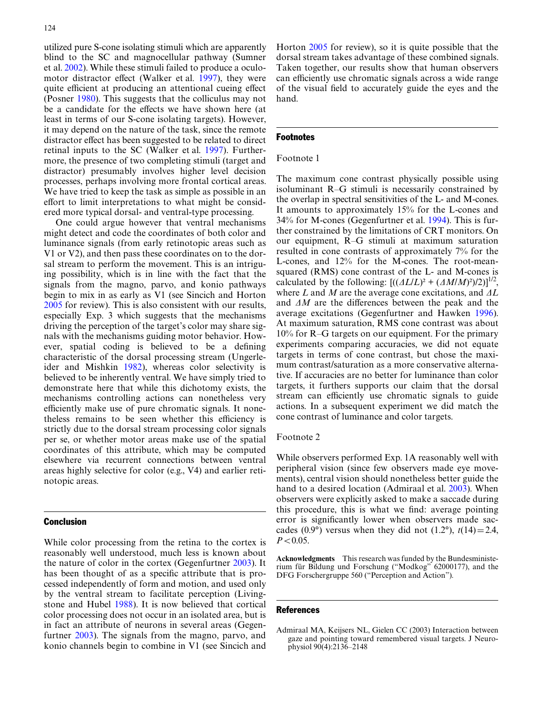utilized pure S-cone isolating stimuli which are apparently blind to the SC and magnocellular pathway (Sumner et al. [2002\)](#page-15-50). While these stimuli failed to produce a oculo-motor distractor effect (Walker et al. [1997](#page-15-51)), they were quite efficient at producing an attentional cueing effect (Posner [1980\)](#page-15-52). This suggests that the colliculus may not be a candidate for the effects we have shown here (at least in terms of our S-cone isolating targets). However, it may depend on the nature of the task, since the remote distractor effect has been suggested to be related to direct retinal inputs to the SC (Walker et al. [1997](#page-15-51)). Furthermore, the presence of two completing stimuli (target and distractor) presumably involves higher level decision processes, perhaps involving more frontal cortical areas. We have tried to keep the task as simple as possible in an effort to limit interpretations to what might be considered more typical dorsal- and ventral-type processing.

One could argue however that ventral mechanisms might detect and code the coordinates of both color and luminance signals (from early retinotopic areas such as V1 or V2), and then pass these coordinates on to the dorsal stream to perform the movement. This is an intriguing possibility, which is in line with the fact that the signals from the magno, parvo, and konio pathways begin to mix in as early as V1 (see Sincich and Horton [2005](#page-15-13) for review). This is also consistent with our results, especially Exp. 3 which suggests that the mechanisms driving the perception of the target's color may share signals with the mechanisms guiding motor behavior. However, spatial coding is believed to be a defining characteristic of the dorsal processing stream (Ungerleider and Mishkin [1982\)](#page-15-14), whereas color selectivity is believed to be inherently ventral. We have simply tried to demonstrate here that while this dichotomy exists, the mechanisms controlling actions can nonetheless very efficiently make use of pure chromatic signals. It nonetheless remains to be seen whether this efficiency is strictly due to the dorsal stream processing color signals per se, or whether motor areas make use of the spatial coordinates of this attribute, which may be computed elsewhere via recurrent connections between ventral areas highly selective for color (e.g., V4) and earlier retinotopic areas.

## Conclusion

While color processing from the retina to the cortex is reasonably well understood, much less is known about the nature of color in the cortex (Gegenfurtner [2003](#page-15-21)). It has been thought of as a specific attribute that is processed independently of form and motion, and used only by the ventral stream to facilitate perception (Livingstone and Hubel [1988](#page-15-15)). It is now believed that cortical color processing does not occur in an isolated area, but is in fact an attribute of neurons in several areas (Gegenfurtner [2003\)](#page-15-21). The signals from the magno, parvo, and konio channels begin to combine in V1 (see Sincich and Horton [2005](#page-15-13) for review), so it is quite possible that the dorsal stream takes advantage of these combined signals. Taken together, our results show that human observers can efficiently use chromatic signals across a wide range of the visual field to accurately guide the eyes and the hand.

#### Footnotes

## Footnote 1

The maximum cone contrast physically possible using isoluminant R–G stimuli is necessarily constrained by the overlap in spectral sensitivities of the L- and M-cones. It amounts to approximately 15% for the L-cones and 34% for M-cones (Gegenfurtner et al. [1994](#page-15-25)). This is further constrained by the limitations of CRT monitors. On our equipment, R–G stimuli at maximum saturation resulted in cone contrasts of approximately 7% for the L-cones, and 12% for the M-cones. The root-meansquared (RMS) cone contrast of the L- and M-cones is calculated by the following:  $[((\Delta L/L)^2 + (\Delta M/M)^2)/2)]^{1/2}$ , where  $L$  and  $M$  are the average cone excitations, and  $\Delta L$ and  $\Delta M$  are the differences between the peak and the average excitations (Gegenfurtner and Hawken [1996\)](#page-15-16). At maximum saturation, RMS cone contrast was about 10% for R–G targets on our equipment. For the primary experiments comparing accuracies, we did not equate targets in terms of cone contrast, but chose the maximum contrast/saturation as a more conservative alternative. If accuracies are no better for luminance than color targets, it furthers supports our claim that the dorsal stream can efficiently use chromatic signals to guide actions. In a subsequent experiment we did match the cone contrast of luminance and color targets.

#### Footnote 2

While observers performed Exp. 1A reasonably well with peripheral vision (since few observers made eye movements), central vision should nonetheless better guide the hand to a desired location (Admiraal et al. [2003\)](#page-14-0). When observers were explicitly asked to make a saccade during this procedure, this is what we find: average pointing error is significantly lower when observers made saccades (0.9°) versus when they did not (1.2°),  $t(14)=2.4$ ,  $P < 0.05$ .

**Acknowledgments** This research was funded by the Bundesministerium für Bildung und Forschung ("Modkog" 62000177), and the DFG Forschergruppe 560 ("Perception and Action").

#### References

<span id="page-14-0"></span>Admiraal MA, Keijsers NL, Gielen CC (2003) Interaction between gaze and pointing toward remembered visual targets. J Neurophysiol 90(4):2136–2148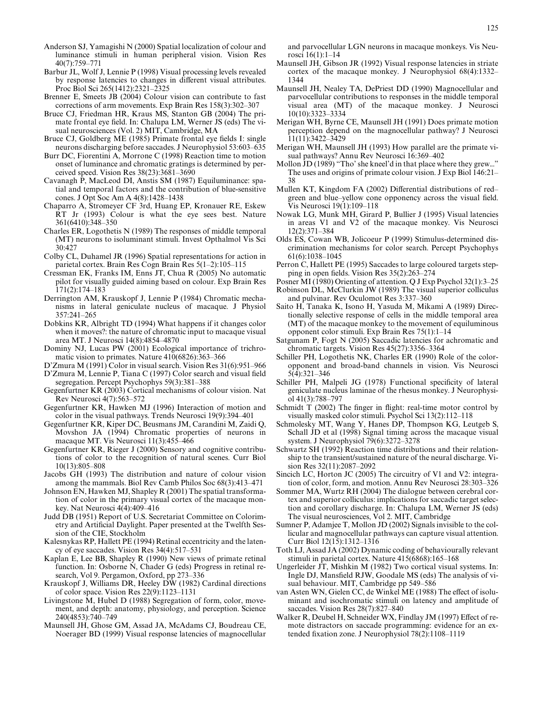- <span id="page-15-27"></span>Anderson SJ, Yamagishi N (2000) Spatial localization of colour and luminance stimuli in human peripheral vision. Vision Res 40(7):759–771
- <span id="page-15-29"></span>Barbur JL, Wolf J, Lennie P (1998) Visual processing levels revealed by response latencies to changes in different visual attributes. Proc Biol Sci 265(1412):2321–2325
- <span id="page-15-8"></span>Brenner E, Smeets JB (2004) Colour vision can contribute to fast corrections of arm movements. Exp Brain Res 158(3):302–307
- <span id="page-15-48"></span>Bruce CJ, Friedman HR, Kraus MS, Stanton GB (2004) The primate frontal eye field. In: Chalupa LM, Werner JS (eds) The visual neurosciences (Vol. 2) MIT, Cambridge, MA
- <span id="page-15-45"></span>Bruce CJ, Goldberg ME (1985) Primate frontal eye fields I: single neurons discharging before saccades. J Neurophysiol 53:603–635
- <span id="page-15-39"></span>Burr DC, Fiorentini A, Morrone C (1998) Reaction time to motion onset of luminance and chromatic gratings is determined by perceived speed. Vision Res 38(23):3681–3690
- <span id="page-15-42"></span>Cavanagh P, MacLeod DI, Anstis SM (1987) Equiluminance: spatial and temporal factors and the contribution of blue-sensitive cones. J Opt Soc Am A 4(8):1428–1438
- <span id="page-15-7"></span>Chaparro A, Stromeyer CF 3rd, Huang EP, Kronauer RE, Eskew RT Jr (1993) Colour is what the eye sees best. Nature 361(6410):348–350
- <span id="page-15-23"></span>Charles ER, Logothetis N (1989) The responses of middle temporal (MT) neurons to isoluminant stimuli. Invest Opthalmol Vis Sci 30:427
- <span id="page-15-46"></span>Colby CL, Duhamel JR (1996) Spatial representations for action in parietal cortex. Brain Res Cogn Brain Res 5(1–2):105–115
- <span id="page-15-28"></span>Cressman EK, Franks IM, Enns JT, Chua R (2005) No automatic pilot for visually guided aiming based on colour. Exp Brain Res 171(2):174–183
- <span id="page-15-11"></span>Derrington AM, Krauskopf J, Lennie P (1984) Chromatic mechanisms in lateral geniculate nucleus of macaque. J Physiol 357:241–265
- <span id="page-15-24"></span>Dobkins KR, Albright TD (1994) What happens if it changes color when it moves?: the nature of chromatic input to macaque visual area MT. J Neurosci 14(8):4854–4870
- <span id="page-15-2"></span>Dominy NJ, Lucas PW (2001) Ecological importance of trichromatic vision to primates. Nature 410(6826):363–366
- <span id="page-15-4"></span>D'Zmura M (1991) Color in visual search. Vision Res 31(6):951–966
- <span id="page-15-5"></span>D'Zmura M, Lennie P, Tiana C (1997) Color search and visual field segregation. Percept Psychophys 59(3):381–388
- <span id="page-15-21"></span>Gegenfurtner KR (2003) Cortical mechanisms of colour vision. Nat Rev Neurosci 4(7):563–572
- <span id="page-15-16"></span>Gegenfurtner KR, Hawken MJ (1996) Interaction of motion and color in the visual pathways. Trends Neurosci 19(9):394–401
- <span id="page-15-25"></span>Gegenfurtner KR, Kiper DC, Beusmans JM, Carandini M, Zaidi Q, Movshon JA (1994) Chromatic properties of neurons in macaque MT. Vis Neurosci 11(3):455–466
- <span id="page-15-3"></span>Gegenfurtner KR, Rieger J (2000) Sensory and cognitive contributions of color to the recognition of natural scenes. Curr Biol 10(13):805–808
- <span id="page-15-0"></span>Jacobs GH (1993) The distribution and nature of colour vision among the mammals. Biol Rev Camb Philos Soc 68(3):413–471
- <span id="page-15-20"></span>Johnson EN, Hawken MJ, Shapley R (2001) The spatial transformation of color in the primary visual cortex of the macaque monkey. Nat Neurosci 4(4):409–416
- <span id="page-15-41"></span>Judd DB (1951) Report of U.S. Secretariat Committee on Colorimetry and Artificial Daylight. Paper presented at the Twelfth Session of the CIE, Stockholm
- <span id="page-15-43"></span>Kalesnykas RP, Hallett PE (1994) Retinal eccentricity and the latency of eye saccades. Vision Res 34(4):517–531
- <span id="page-15-12"></span>Kaplan E, Lee BB, Shapley R (1990) New views of primate retinal function. In: Osborne N, Chader G (eds) Progress in retinal research, Vol 9. Pergamon, Oxford, pp 273–336
- <span id="page-15-40"></span>Krauskopf J, Williams DR, Heeley DW (1982) Cardinal directions of color space. Vision Res 22(9):1123–1131
- <span id="page-15-15"></span>Livingstone M, Hubel D (1988) Segregation of form, color, movement, and depth: anatomy, physiology, and perception. Science 240(4853):740–749
- <span id="page-15-31"></span>Maunsell JH, Ghose GM, Assad JA, McAdams CJ, Boudreau CE, Noerager BD (1999) Visual response latencies of magnocellular

and parvocellular LGN neurons in macaque monkeys. Vis Neurosci 16(1):1–14

- <span id="page-15-32"></span>Maunsell JH, Gibson JR (1992) Visual response latencies in striate cortex of the macaque monkey. J Neurophysiol 68(4):1332– 1344
- <span id="page-15-22"></span>Maunsell JH, Nealey TA, DePriest DD (1990) Magnocellular and parvocellular contributions to responses in the middle temporal visual area (MT) of the macaque monkey. J Neurosci 10(10):3323–3334
- <span id="page-15-17"></span>Merigan WH, Byrne CE, Maunsell JH (1991) Does primate motion perception depend on the magnocellular pathway? J Neurosci 11(11):3422–3429
- <span id="page-15-18"></span>Merigan WH, Maunsell JH (1993) How parallel are the primate visual pathways? Annu Rev Neurosci 16:369–402
- <span id="page-15-1"></span>Mollon  $\overline{JD}$  (1989) "Tho' she kneel'd in that place where they grew..." The uses and origins of primate colour vision. J Exp Biol 146:21– 38
- <span id="page-15-44"></span>Mullen KT, Kingdom FA (2002) Differential distributions of redgreen and blue–yellow cone opponency across the visual field. Vis Neurosci 19(1):109–118
- <span id="page-15-33"></span>Nowak LG, Munk MH, Girard P, Bullier J (1995) Visual latencies in areas V1 and V2 of the macaque monkey. Vis Neurosci 12(2):371–384
- <span id="page-15-6"></span>Olds ES, Cowan WB, Jolicoeur P (1999) Stimulus-determined discrimination mechanisms for color search. Percept Psychophys 61(6):1038–1045
- <span id="page-15-37"></span>Perron C, Hallett PE (1995) Saccades to large coloured targets stepping in open fields. Vision Res  $35(2)$ :263–274
- <span id="page-15-52"></span>Posner MI (1980) Orienting of attention. Q J Exp Psychol 32(1):3–25
- <span id="page-15-47"></span>Robinson DL, McClurkin JW (1989) The visual superior colliculus and pulvinar. Rev Oculomot Res 3:337–360
- <span id="page-15-26"></span>Saito H, Tanaka K, Isono H, Yasuda M, Mikami A (1989) Directionally selective response of cells in the middle temporal area (MT) of the macaque monkey to the movement of equiluminous opponent color stimuli. Exp Brain Res 75(1):1–14
- <span id="page-15-38"></span>Satgunam P, Fogt N (2005) Saccadic latencies for achromatic and chromatic targets. Vision Res 45(27):3356–3364
- <span id="page-15-19"></span>Schiller PH, Logothetis NK, Charles ER (1990) Role of the coloropponent and broad-band channels in vision. Vis Neurosci 5(4):321–346
- <span id="page-15-30"></span>Schiller PH, Malpeli JG (1978) Functional specificity of lateral geniculate nucleus laminae of the rhesus monkey. J Neurophysiol 41(3):788–797
- <span id="page-15-9"></span>Schmidt  $\dot{T}$  (2002) The finger in flight: real-time motor control by visually masked color stimuli. Psychol Sci 13(2):112–118
- <span id="page-15-34"></span>Schmolesky MT, Wang Y, Hanes DP, Thompson KG, Leutgeb S, Schall JD et al (1998) Signal timing across the macaque visual system. J Neurophysiol 79(6):3272–3278
- <span id="page-15-35"></span>Schwartz SH (1992) Reaction time distributions and their relationship to the transient/sustained nature of the neural discharge. Vision Res 32(11):2087–2092
- <span id="page-15-13"></span>Sincich LC, Horton JC (2005) The circuitry of V1 and V2: integration of color, form, and motion. Annu Rev Neurosci 28:303–326
- <span id="page-15-49"></span>Sommer MA, Wurtz RH (2004) The dialogue between cerebral cortex and superior colliculus: implications for saccadic target selection and corollary discharge. In: Chalupa LM, Werner JS (eds) The visual neurosciences, Vol 2. MIT, Cambridge
- <span id="page-15-50"></span>Sumner P, Adamjee T, Mollon JD (2002) Signals invisible to the collicular and magnocellular pathways can capture visual attention. Curr Biol 12(15):1312–1316
- <span id="page-15-10"></span>Toth LJ, Assad JA (2002) Dynamic coding of behaviourally relevant stimuli in parietal cortex. Nature 415(6868):165–168
- <span id="page-15-14"></span>Ungerleider JT, Mishkin M (1982) Two cortical visual systems. In: Ingle DJ, Mansfield RJW, Goodale MS (eds) The analysis of visual behaviour. MIT, Cambridge pp 549–586
- <span id="page-15-36"></span>van Asten WN, Gielen CC, de Winkel ME (1988) The effect of isoluminant and isochromatic stimuli on latency and amplitude of saccades. Vision Res 28(7):827–840
- <span id="page-15-51"></span>Walker R, Deubel H, Schneider WX, Findlay JM (1997) Effect of remote distractors on saccade programming: evidence for an extended fixation zone. J Neurophysiol 78(2):1108-1119